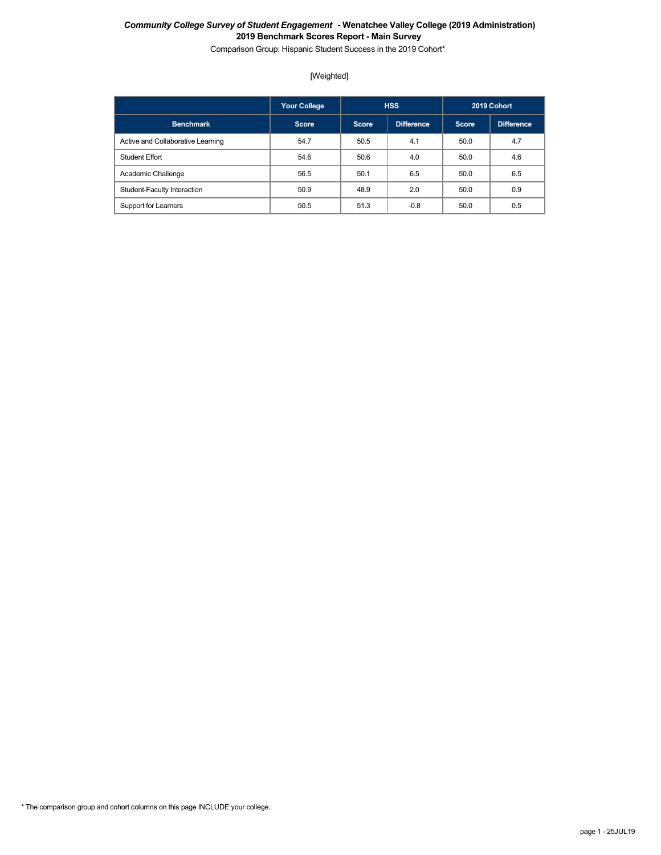Comparison Group: Hispanic Student Success in the 2019 Cohort\*

## [Weighted]

|                                   | <b>Your College</b> |              | <b>HSS</b>        |              | 2019 Cohort       |
|-----------------------------------|---------------------|--------------|-------------------|--------------|-------------------|
| <b>Benchmark</b>                  | <b>Score</b>        | <b>Score</b> | <b>Difference</b> | <b>Score</b> | <b>Difference</b> |
| Active and Collaborative Learning | 54.7                | 50.5         | 4.1               | 50.0         | 4.7               |
| <b>Student Effort</b>             | 54.6                | 50.6         | 4.0               | 50.0         | 4.6               |
| Academic Challenge                | 56.5                | 50.1         | 6.5               | 50.0         | 6.5               |
| Student-Faculty Interaction       | 50.9                | 48.9         | 2.0               | 50.0         | 0.9               |
| Support for Learners              | 50.5                | 51.3         | $-0.8$            | 50.0         | 0.5               |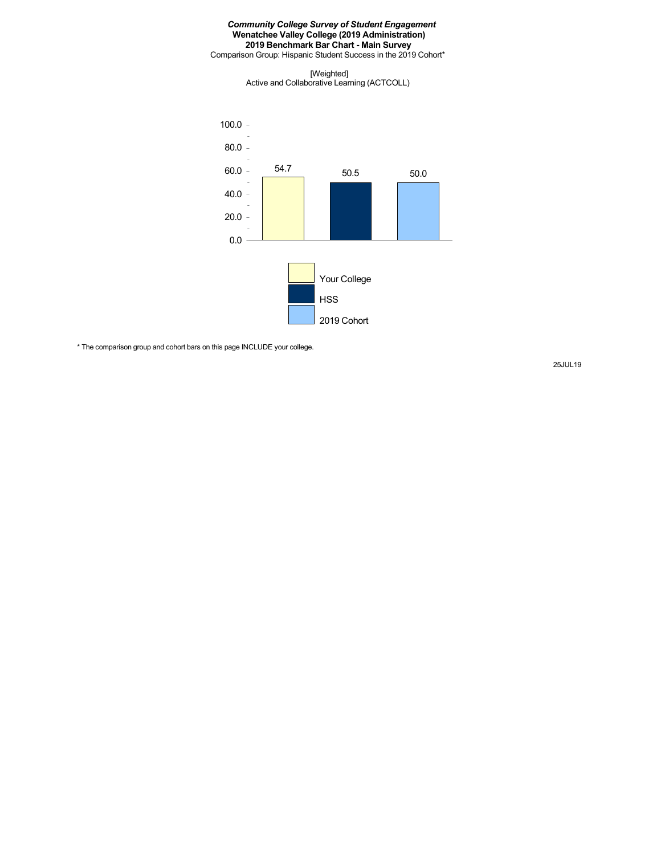Comparison Group: Hispanic Student Success in the 2019 Cohort\*

[Weighted] Active and Collaborative Learning (ACTCOLL)



\* The comparison group and cohort bars on this page INCLUDE your college.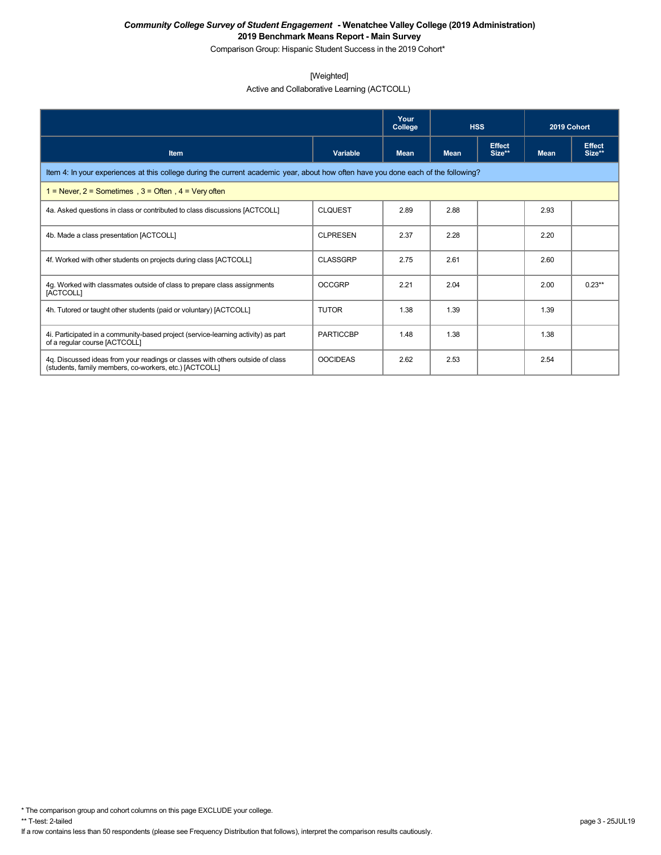Comparison Group: Hispanic Student Success in the 2019 Cohort\*

### [Weighted]

## Active and Collaborative Learning (ACTCOLL)

|                                                                                                                                          |                  | Your<br>College | <b>HSS</b>  |                         | 2019 Cohort |                         |  |  |
|------------------------------------------------------------------------------------------------------------------------------------------|------------------|-----------------|-------------|-------------------------|-------------|-------------------------|--|--|
| <b>Item</b>                                                                                                                              | Variable         | <b>Mean</b>     | <b>Mean</b> | <b>Effect</b><br>Size** | <b>Mean</b> | <b>Effect</b><br>Size** |  |  |
| Item 4: In your experiences at this college during the current academic year, about how often have you done each of the following?       |                  |                 |             |                         |             |                         |  |  |
| 1 = Never, $2$ = Sometimes, $3$ = Often, $4$ = Very often                                                                                |                  |                 |             |                         |             |                         |  |  |
| 4a. Asked questions in class or contributed to class discussions [ACTCOLL]                                                               | <b>CLQUEST</b>   | 2.89            | 2.88        |                         | 2.93        |                         |  |  |
| 4b. Made a class presentation [ACTCOLL]                                                                                                  | <b>CLPRESEN</b>  | 2.37            | 2.28        |                         | 2.20        |                         |  |  |
| 4f. Worked with other students on projects during class [ACTCOLL]                                                                        | <b>CLASSGRP</b>  | 2.75            | 2.61        |                         | 2.60        |                         |  |  |
| 4g. Worked with classmates outside of class to prepare class assignments<br>[ACTCOLL]                                                    | <b>OCCGRP</b>    | 2.21            | 2.04        |                         | 2.00        | $0.23**$                |  |  |
| 4h. Tutored or taught other students (paid or voluntary) [ACTCOLL]                                                                       | <b>TUTOR</b>     | 1.38            | 1.39        |                         | 1.39        |                         |  |  |
| 4i. Participated in a community-based project (service-learning activity) as part<br>of a regular course [ACTCOLL]                       | <b>PARTICCBP</b> | 1.48            | 1.38        |                         | 1.38        |                         |  |  |
| 4q. Discussed ideas from your readings or classes with others outside of class<br>(students, family members, co-workers, etc.) [ACTCOLL] | <b>OOCIDEAS</b>  | 2.62            | 2.53        |                         | 2.54        |                         |  |  |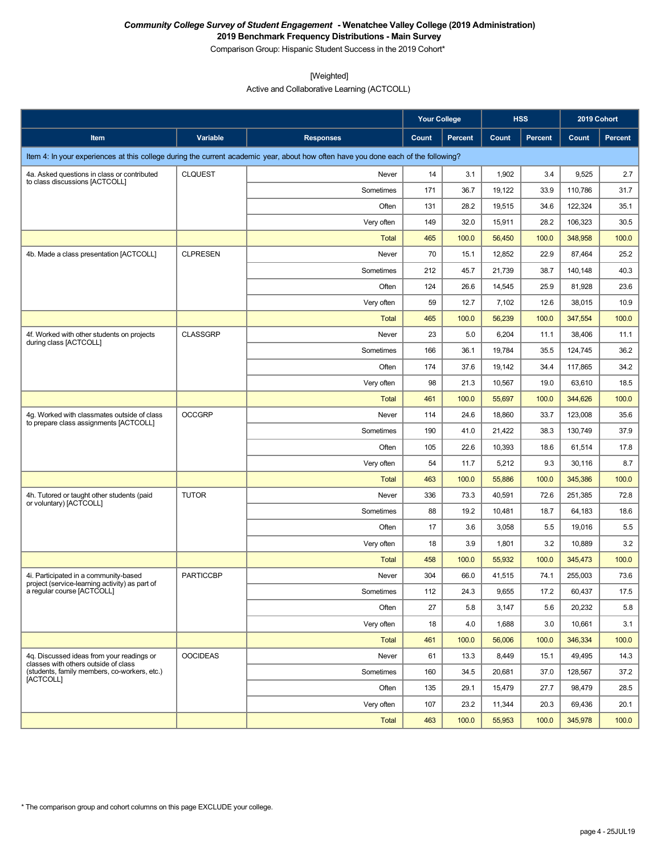Comparison Group: Hispanic Student Success in the 2019 Cohort\*

[Weighted]

Active and Collaborative Learning (ACTCOLL)

|                                                                                         |                  |                                                                                                                                    | <b>Your College</b> |         |        | <b>HSS</b>     | 2019 Cohort |         |
|-----------------------------------------------------------------------------------------|------------------|------------------------------------------------------------------------------------------------------------------------------------|---------------------|---------|--------|----------------|-------------|---------|
| Item                                                                                    | <b>Variable</b>  | <b>Responses</b>                                                                                                                   | Count               | Percent | Count  | <b>Percent</b> | Count       | Percent |
|                                                                                         |                  | Item 4: In your experiences at this college during the current academic year, about how often have you done each of the following? |                     |         |        |                |             |         |
| 4a. Asked questions in class or contributed                                             | <b>CLQUEST</b>   | Never                                                                                                                              | 14                  | 3.1     | 1,902  | 3.4            | 9,525       | 2.7     |
| to class discussions [ACTCOLL]                                                          |                  | Sometimes                                                                                                                          | 171                 | 36.7    | 19,122 | 33.9           | 110,786     | 31.7    |
|                                                                                         |                  | Often                                                                                                                              | 131                 | 28.2    | 19,515 | 34.6           | 122,324     | 35.1    |
|                                                                                         |                  | Very often                                                                                                                         | 149                 | 32.0    | 15,911 | 28.2           | 106,323     | 30.5    |
|                                                                                         |                  | Total                                                                                                                              | 465                 | 100.0   | 56,450 | 100.0          | 348,958     | 100.0   |
| 4b. Made a class presentation [ACTCOLL]                                                 | <b>CLPRESEN</b>  | Never                                                                                                                              | 70                  | 15.1    | 12,852 | 22.9           | 87,464      | 25.2    |
|                                                                                         |                  | Sometimes                                                                                                                          | 212                 | 45.7    | 21,739 | 38.7           | 140,148     | 40.3    |
|                                                                                         |                  | Often                                                                                                                              | 124                 | 26.6    | 14,545 | 25.9           | 81,928      | 23.6    |
|                                                                                         |                  | Very often                                                                                                                         | 59                  | 12.7    | 7,102  | 12.6           | 38,015      | 10.9    |
|                                                                                         |                  | <b>Total</b>                                                                                                                       | 465                 | 100.0   | 56,239 | 100.0          | 347,554     | 100.0   |
| 4f. Worked with other students on projects<br>during class [ACTCOLL]                    | <b>CLASSGRP</b>  | Never                                                                                                                              | 23                  | 5.0     | 6,204  | 11.1           | 38,406      | 11.1    |
|                                                                                         |                  | Sometimes                                                                                                                          | 166                 | 36.1    | 19,784 | 35.5           | 124,745     | 36.2    |
|                                                                                         |                  | Often                                                                                                                              | 174                 | 37.6    | 19,142 | 34.4           | 117,865     | 34.2    |
|                                                                                         |                  | Very often                                                                                                                         | 98                  | 21.3    | 10,567 | 19.0           | 63,610      | 18.5    |
|                                                                                         |                  | Total                                                                                                                              | 461                 | 100.0   | 55,697 | 100.0          | 344,626     | 100.0   |
| 4g. Worked with classmates outside of class<br>to prepare class assignments [ACTCOLL]   | <b>OCCGRP</b>    | Never                                                                                                                              | 114                 | 24.6    | 18,860 | 33.7           | 123,008     | 35.6    |
|                                                                                         |                  | Sometimes                                                                                                                          | 190                 | 41.0    | 21,422 | 38.3           | 130,749     | 37.9    |
|                                                                                         |                  | Often                                                                                                                              | 105                 | 22.6    | 10,393 | 18.6           | 61,514      | 17.8    |
|                                                                                         |                  | Very often                                                                                                                         | 54                  | 11.7    | 5,212  | 9.3            | 30,116      | 8.7     |
|                                                                                         |                  | Total                                                                                                                              | 463                 | 100.0   | 55,886 | 100.0          | 345,386     | 100.0   |
| 4h. Tutored or taught other students (paid<br>or voluntary) [ACTCOLL]                   | <b>TUTOR</b>     | Never                                                                                                                              | 336                 | 73.3    | 40,591 | 72.6           | 251,385     | 72.8    |
|                                                                                         |                  | Sometimes                                                                                                                          | 88                  | 19.2    | 10,481 | 18.7           | 64,183      | 18.6    |
|                                                                                         |                  | Often                                                                                                                              | 17                  | 3.6     | 3,058  | 5.5            | 19,016      | 5.5     |
|                                                                                         |                  | Very often                                                                                                                         | 18                  | 3.9     | 1,801  | 3.2            | 10,889      | 3.2     |
|                                                                                         |                  | Total                                                                                                                              | 458                 | 100.0   | 55,932 | 100.0          | 345,473     | 100.0   |
| 4i. Participated in a community-based<br>project (service-learning activity) as part of | <b>PARTICCBP</b> | Never                                                                                                                              | 304                 | 66.0    | 41,515 | 74.1           | 255,003     | 73.6    |
| a regular course [ACTCOLL]                                                              |                  | Sometimes                                                                                                                          | 112                 | 24.3    | 9,655  | 17.2           | 60,437      | 17.5    |
|                                                                                         |                  | Often                                                                                                                              | 27                  | 5.8     | 3,147  | 5.6            | 20,232      | 5.8     |
|                                                                                         |                  | Very often                                                                                                                         | 18                  | 4.0     | 1,688  | 3.0            | 10,661      | 3.1     |
|                                                                                         |                  | Total                                                                                                                              | 461                 | 100.0   | 56,006 | 100.0          | 346,334     | 100.0   |
| 4q. Discussed ideas from your readings or<br>classes with others outside of class       | <b>OOCIDEAS</b>  | Never                                                                                                                              | 61                  | 13.3    | 8,449  | 15.1           | 49,495      | 14.3    |
| (students, family members, co-workers, etc.)<br>[ACTCOLL]                               |                  | Sometimes                                                                                                                          | 160                 | 34.5    | 20,681 | 37.0           | 128,567     | 37.2    |
|                                                                                         |                  | Often                                                                                                                              | 135                 | 29.1    | 15,479 | 27.7           | 98,479      | 28.5    |
|                                                                                         |                  | Very often                                                                                                                         | 107                 | 23.2    | 11,344 | 20.3           | 69,436      | 20.1    |
|                                                                                         |                  | <b>Total</b>                                                                                                                       | 463                 | 100.0   | 55,953 | 100.0          | 345,978     | 100.0   |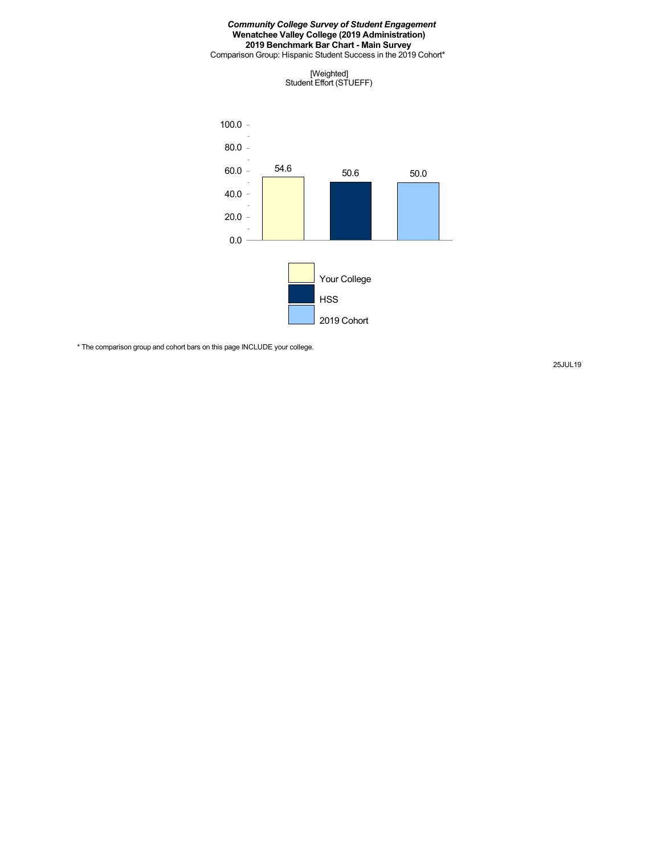Comparison Group: Hispanic Student Success in the 2019 Cohort\*





\* The comparison group and cohort bars on this page INCLUDE your college.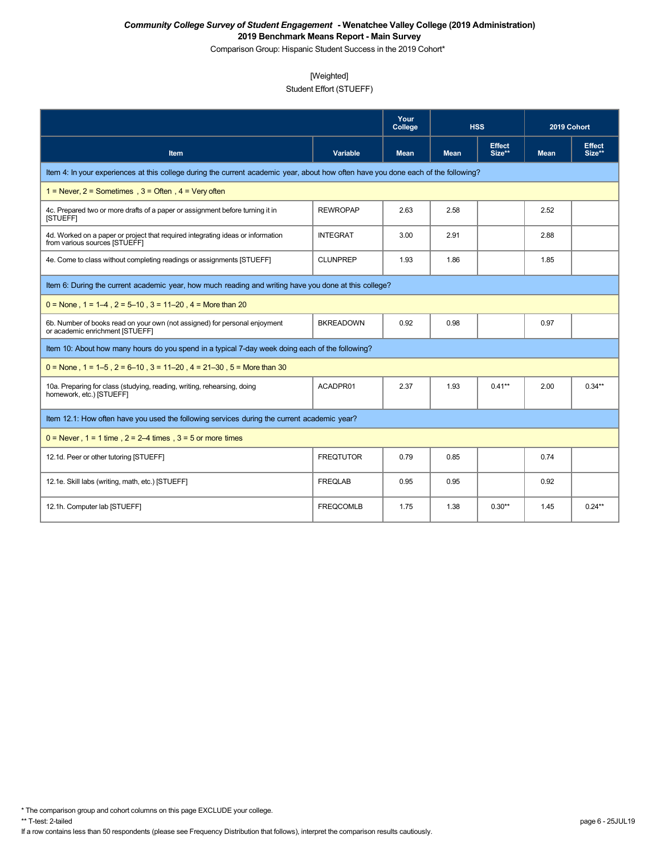Comparison Group: Hispanic Student Success in the 2019 Cohort\*

## [Weighted]

## Student Effort (STUEFF)

|                                                                                                                                    |                  | Your<br>College | <b>HSS</b>  |                         | 2019 Cohort |                         |  |  |  |
|------------------------------------------------------------------------------------------------------------------------------------|------------------|-----------------|-------------|-------------------------|-------------|-------------------------|--|--|--|
| Item                                                                                                                               | <b>Variable</b>  | <b>Mean</b>     | <b>Mean</b> | <b>Effect</b><br>Size** | <b>Mean</b> | <b>Effect</b><br>Size** |  |  |  |
| Item 4: In your experiences at this college during the current academic year, about how often have you done each of the following? |                  |                 |             |                         |             |                         |  |  |  |
| 1 = Never, $2$ = Sometimes, $3$ = Often, $4$ = Very often                                                                          |                  |                 |             |                         |             |                         |  |  |  |
| 4c. Prepared two or more drafts of a paper or assignment before turning it in<br><b>ISTUEFFI</b>                                   | <b>REWROPAP</b>  | 2.63            | 2.58        |                         | 2.52        |                         |  |  |  |
| 4d. Worked on a paper or project that required integrating ideas or information<br>from various sources [STUEFF]                   | <b>INTEGRAT</b>  | 3.00            | 2.91        |                         | 2.88        |                         |  |  |  |
| 4e. Come to class without completing readings or assignments [STUEFF]                                                              | <b>CLUNPREP</b>  | 1.93            | 1.86        |                         | 1.85        |                         |  |  |  |
| Item 6: During the current academic year, how much reading and writing have you done at this college?                              |                  |                 |             |                         |             |                         |  |  |  |
| $0 =$ None, 1 = 1–4, 2 = 5–10, 3 = 11–20, 4 = More than 20                                                                         |                  |                 |             |                         |             |                         |  |  |  |
| 6b. Number of books read on your own (not assigned) for personal enjoyment<br>or academic enrichment [STUEFF]                      | <b>BKREADOWN</b> | 0.92            | 0.98        |                         | 0.97        |                         |  |  |  |
| Item 10: About how many hours do you spend in a typical 7-day week doing each of the following?                                    |                  |                 |             |                         |             |                         |  |  |  |
| $0 =$ None, 1 = 1–5, 2 = 6–10, 3 = 11–20, 4 = 21–30, 5 = More than 30                                                              |                  |                 |             |                         |             |                         |  |  |  |
| 10a. Preparing for class (studying, reading, writing, rehearsing, doing<br>homework, etc.) [STUEFF]                                | ACADPR01         | 2.37            | 1.93        | $0.41***$               | 2.00        | $0.34**$                |  |  |  |
| Item 12.1: How often have you used the following services during the current academic year?                                        |                  |                 |             |                         |             |                         |  |  |  |
| $0 =$ Never, $1 = 1$ time, $2 = 2-4$ times, $3 = 5$ or more times                                                                  |                  |                 |             |                         |             |                         |  |  |  |
| 12.1d. Peer or other tutoring [STUEFF]                                                                                             | <b>FREQTUTOR</b> | 0.79            | 0.85        |                         | 0.74        |                         |  |  |  |
| 12.1e. Skill labs (writing, math, etc.) [STUEFF]                                                                                   | <b>FREQLAB</b>   | 0.95            | 0.95        |                         | 0.92        |                         |  |  |  |
| 12.1h. Computer lab [STUEFF]                                                                                                       | <b>FREQCOMLB</b> | 1.75            | 1.38        | $0.30**$                | 1.45        | $0.24**$                |  |  |  |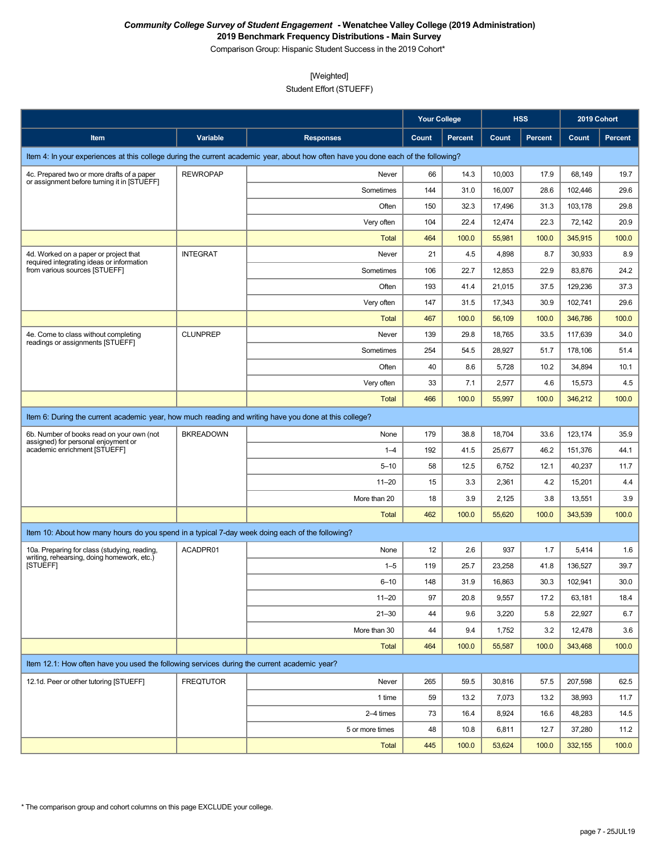Comparison Group: Hispanic Student Success in the 2019 Cohort\*

## [Weighted]

Student Effort (STUEFF)

|                                                                                                       |                  |                                                                                                                                    | Your College |                |        | <b>HSS</b>     | 2019 Cohort |                |
|-------------------------------------------------------------------------------------------------------|------------------|------------------------------------------------------------------------------------------------------------------------------------|--------------|----------------|--------|----------------|-------------|----------------|
| Item                                                                                                  | Variable         | <b>Responses</b>                                                                                                                   | Count        | <b>Percent</b> | Count  | <b>Percent</b> | Count       | <b>Percent</b> |
|                                                                                                       |                  | Item 4: In your experiences at this college during the current academic year, about how often have you done each of the following? |              |                |        |                |             |                |
| 4c. Prepared two or more drafts of a paper                                                            | <b>REWROPAP</b>  | Never                                                                                                                              | 66           | 14.3           | 10,003 | 17.9           | 68,149      | 19.7           |
| or assignment before turning it in [STUEFF]                                                           |                  | Sometimes                                                                                                                          | 144          | 31.0           | 16,007 | 28.6           | 102,446     | 29.6           |
|                                                                                                       |                  | Often                                                                                                                              | 150          | 32.3           | 17,496 | 31.3           | 103,178     | 29.8           |
|                                                                                                       |                  | Very often                                                                                                                         | 104          | 22.4           | 12,474 | 22.3           | 72,142      | 20.9           |
|                                                                                                       |                  | <b>Total</b>                                                                                                                       | 464          | 100.0          | 55,981 | 100.0          | 345,915     | 100.0          |
| 4d. Worked on a paper or project that<br>required integrating ideas or information                    | <b>INTEGRAT</b>  | Never                                                                                                                              | 21           | 4.5            | 4,898  | 8.7            | 30,933      | 8.9            |
| from various sources [STUEFF]                                                                         |                  | Sometimes                                                                                                                          | 106          | 22.7           | 12,853 | 22.9           | 83,876      | 24.2           |
|                                                                                                       |                  | Often                                                                                                                              | 193          | 41.4           | 21,015 | 37.5           | 129,236     | 37.3           |
|                                                                                                       |                  | Very often                                                                                                                         | 147          | 31.5           | 17,343 | 30.9           | 102,741     | 29.6           |
|                                                                                                       |                  | <b>Total</b>                                                                                                                       | 467          | 100.0          | 56,109 | 100.0          | 346,786     | 100.0          |
| 4e. Come to class without completing<br>readings or assignments [STUEFF]                              | <b>CLUNPREP</b>  | Never                                                                                                                              | 139          | 29.8           | 18,765 | 33.5           | 117,639     | 34.0           |
|                                                                                                       |                  | Sometimes                                                                                                                          | 254          | 54.5           | 28,927 | 51.7           | 178,106     | 51.4           |
|                                                                                                       |                  | Often                                                                                                                              | 40           | 8.6            | 5,728  | 10.2           | 34,894      | 10.1           |
|                                                                                                       |                  | Very often                                                                                                                         | 33           | 7.1            | 2,577  | 4.6            | 15,573      | 4.5            |
|                                                                                                       |                  | <b>Total</b>                                                                                                                       | 466          | 100.0          | 55,997 | 100.0          | 346,212     | 100.0          |
| Item 6: During the current academic year, how much reading and writing have you done at this college? |                  |                                                                                                                                    |              |                |        |                |             |                |
| 6b. Number of books read on your own (not                                                             | <b>BKREADOWN</b> | None                                                                                                                               | 179          | 38.8           | 18,704 | 33.6           | 123,174     | 35.9           |
| assigned) for personal enjoyment or<br>academic enrichment [STUEFF]                                   |                  | $1 - 4$                                                                                                                            | 192          | 41.5           | 25,677 | 46.2           | 151,376     | 44.1           |
|                                                                                                       |                  | $5 - 10$                                                                                                                           | 58           | 12.5           | 6,752  | 12.1           | 40,237      | 11.7           |
|                                                                                                       |                  | $11 - 20$                                                                                                                          | 15           | 3.3            | 2,361  | 4.2            | 15,201      | 4.4            |
|                                                                                                       |                  | More than 20                                                                                                                       | 18           | 3.9            | 2,125  | 3.8            | 13,551      | 3.9            |
|                                                                                                       |                  | <b>Total</b>                                                                                                                       | 462          | 100.0          | 55,620 | 100.0          | 343,539     | 100.0          |
| Item 10: About how many hours do you spend in a typical 7-day week doing each of the following?       |                  |                                                                                                                                    |              |                |        |                |             |                |
| 10a. Preparing for class (studying, reading,                                                          | ACADPR01         | None                                                                                                                               | 12           | 2.6            | 937    | 1.7            | 5,414       | 1.6            |
| writing, rehearsing, doing homework, etc.)<br>[STUEFF]                                                |                  | $1 - 5$                                                                                                                            | 119          | 25.7           | 23,258 | 41.8           | 136.527     | 39.7           |
|                                                                                                       |                  | $6 - 10$                                                                                                                           | 148          | 31.9           | 16,863 | 30.3           | 102,941     | 30.0           |
|                                                                                                       |                  | $11 - 20$                                                                                                                          | 97           | 20.8           | 9,557  | 17.2           | 63,181      | 18.4           |
|                                                                                                       |                  | $21 - 30$                                                                                                                          | 44           | 9.6            | 3,220  | 5.8            | 22,927      | 6.7            |
|                                                                                                       |                  | More than 30                                                                                                                       | 44           | 9.4            | 1,752  | 3.2            | 12,478      | 3.6            |
|                                                                                                       |                  | <b>Total</b>                                                                                                                       | 464          | 100.0          | 55,587 | 100.0          | 343,468     | 100.0          |
| Item 12.1: How often have you used the following services during the current academic year?           |                  |                                                                                                                                    |              |                |        |                |             |                |
| 12.1d. Peer or other tutoring [STUEFF]                                                                | <b>FREQTUTOR</b> | Never                                                                                                                              | 265          | 59.5           | 30,816 | 57.5           | 207,598     | 62.5           |
|                                                                                                       |                  | 1 time                                                                                                                             | 59           | 13.2           | 7,073  | 13.2           | 38,993      | 11.7           |
|                                                                                                       |                  | 2-4 times                                                                                                                          | 73           | 16.4           | 8,924  | 16.6           | 48,283      | 14.5           |
|                                                                                                       |                  | 5 or more times                                                                                                                    | 48           | 10.8           | 6,811  | 12.7           | 37,280      | 11.2           |
|                                                                                                       |                  | Total                                                                                                                              | 445          | 100.0          | 53,624 | 100.0          | 332,155     | 100.0          |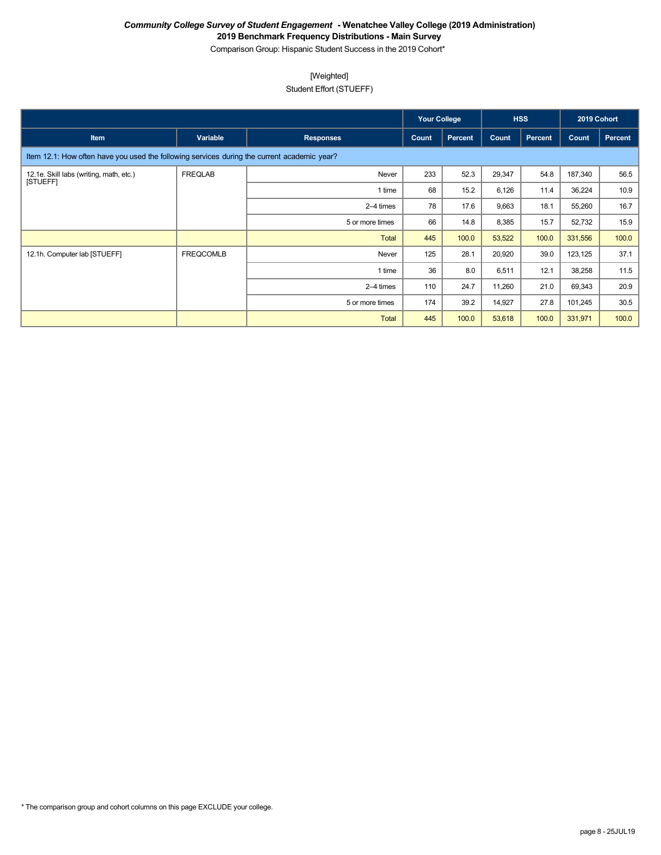Comparison Group: Hispanic Student Success in the 2019 Cohort\*

## [Weighted]

Student Effort (STUEFF)

|                                                                                             |                  |                  | <b>Your College</b> |                | <b>HSS</b> |         | 2019 Cohort |         |
|---------------------------------------------------------------------------------------------|------------------|------------------|---------------------|----------------|------------|---------|-------------|---------|
| <b>Item</b>                                                                                 | Variable         | <b>Responses</b> | Count               | <b>Percent</b> | Count      | Percent | Count       | Percent |
| Item 12.1: How often have you used the following services during the current academic year? |                  |                  |                     |                |            |         |             |         |
| 12.1e. Skill labs (writing, math, etc.)<br><b>ISTUEFFI</b>                                  | FREQLAB          | Never            | 233                 | 52.3           | 29,347     | 54.8    | 187,340     | 56.5    |
|                                                                                             |                  | 1 time           | 68                  | 15.2           | 6,126      | 11.4    | 36,224      | 10.9    |
|                                                                                             |                  | 2–4 times        | 78                  | 17.6           | 9,663      | 18.1    | 55,260      | 16.7    |
|                                                                                             |                  | 5 or more times  | 66                  | 14.8           | 8,385      | 15.7    | 52,732      | 15.9    |
|                                                                                             |                  | Total            | 445                 | 100.0          | 53,522     | 100.0   | 331,556     | 100.0   |
| 12.1h. Computer lab [STUEFF]                                                                | <b>FREQCOMLB</b> | Never            | 125                 | 28.1           | 20,920     | 39.0    | 123,125     | 37.1    |
|                                                                                             |                  | 1 time           | 36                  | 8.0            | 6,511      | 12.1    | 38,258      | 11.5    |
|                                                                                             |                  | 2-4 times        | 110                 | 24.7           | 11,260     | 21.0    | 69,343      | 20.9    |
|                                                                                             |                  | 5 or more times  | 174                 | 39.2           | 14,927     | 27.8    | 101,245     | 30.5    |
|                                                                                             |                  | <b>Total</b>     | 445                 | 100.0          | 53,618     | 100.0   | 331,971     | 100.0   |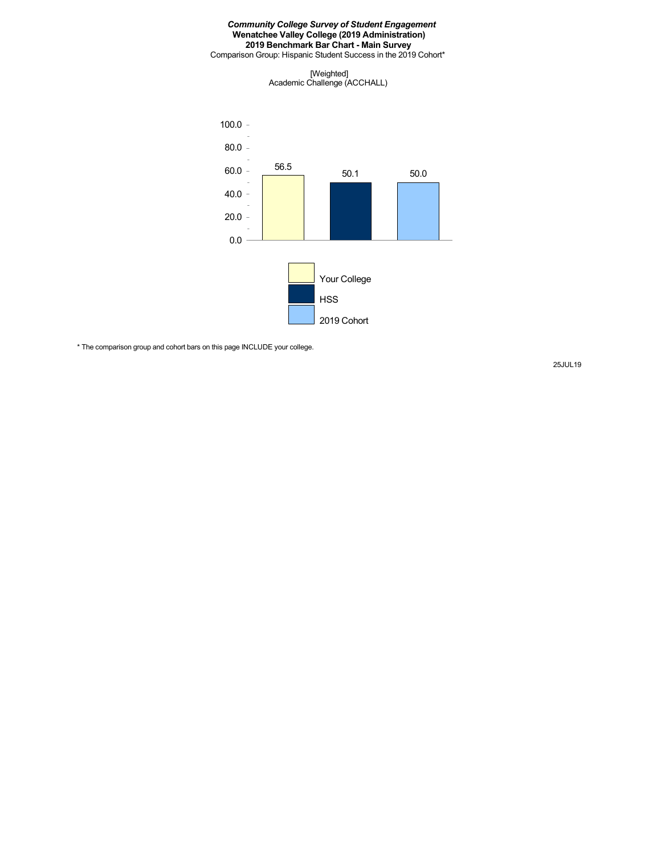Comparison Group: Hispanic Student Success in the 2019 Cohort\*

[Weighted] Academic Challenge (ACCHALL)



\* The comparison group and cohort bars on this page INCLUDE your college.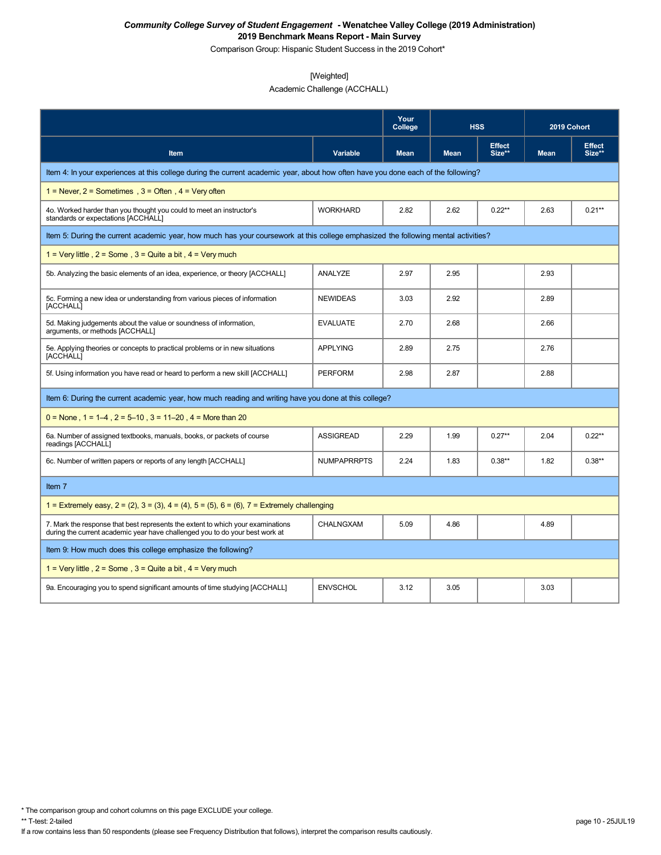Comparison Group: Hispanic Student Success in the 2019 Cohort\*

### [Weighted]

Academic Challenge (ACCHALL)

|                                                                                                                                                                 |                    | Your<br>College |             | <b>HSS</b>              | 2019 Cohort |                         |
|-----------------------------------------------------------------------------------------------------------------------------------------------------------------|--------------------|-----------------|-------------|-------------------------|-------------|-------------------------|
| Item                                                                                                                                                            | Variable           | <b>Mean</b>     | <b>Mean</b> | <b>Effect</b><br>Size** | <b>Mean</b> | <b>Effect</b><br>Size** |
| Item 4: In your experiences at this college during the current academic year, about how often have you done each of the following?                              |                    |                 |             |                         |             |                         |
| 1 = Never, $2$ = Sometimes, $3$ = Often, $4$ = Very often                                                                                                       |                    |                 |             |                         |             |                         |
| 40. Worked harder than you thought you could to meet an instructor's<br>standards or expectations [ACCHALL]                                                     | <b>WORKHARD</b>    | 2.82            | 2.62        | $0.22**$                | 2.63        | $0.21**$                |
| Item 5: During the current academic year, how much has your coursework at this college emphasized the following mental activities?                              |                    |                 |             |                         |             |                         |
| 1 = Very little, $2 =$ Some, $3 =$ Quite a bit, $4 =$ Very much                                                                                                 |                    |                 |             |                         |             |                         |
| 5b. Analyzing the basic elements of an idea, experience, or theory [ACCHALL]                                                                                    | ANALYZE            | 2.97            | 2.95        |                         | 2.93        |                         |
| 5c. Forming a new idea or understanding from various pieces of information<br>[ACCHALL]                                                                         | <b>NEWIDEAS</b>    | 3.03            | 2.92        |                         | 2.89        |                         |
| 5d. Making judgements about the value or soundness of information,<br>arguments, or methods [ACCHALL]                                                           | <b>EVALUATE</b>    | 2.70            | 2.68        |                         | 2.66        |                         |
| 5e. Applying theories or concepts to practical problems or in new situations<br>[ACCHALL]                                                                       | <b>APPLYING</b>    | 2.89            | 2.75        |                         | 2.76        |                         |
| 5f. Using information you have read or heard to perform a new skill [ACCHALL]                                                                                   | <b>PERFORM</b>     | 2.98            | 2.87        |                         | 2.88        |                         |
| Item 6: During the current academic year, how much reading and writing have you done at this college?                                                           |                    |                 |             |                         |             |                         |
| $0 =$ None, 1 = 1–4, 2 = 5–10, 3 = 11–20, 4 = More than 20                                                                                                      |                    |                 |             |                         |             |                         |
| 6a. Number of assigned textbooks, manuals, books, or packets of course<br>readings [ACCHALL]                                                                    | <b>ASSIGREAD</b>   | 2.29            | 1.99        | $0.27**$                | 2.04        | $0.22**$                |
| 6c. Number of written papers or reports of any length [ACCHALL]                                                                                                 | <b>NUMPAPRRPTS</b> | 2.24            | 1.83        | $0.38**$                | 1.82        | $0.38**$                |
| Item 7                                                                                                                                                          |                    |                 |             |                         |             |                         |
| 1 = Extremely easy, $2 = (2)$ , $3 = (3)$ , $4 = (4)$ , $5 = (5)$ , $6 = (6)$ , $7 =$ Extremely challenging                                                     |                    |                 |             |                         |             |                         |
| 7. Mark the response that best represents the extent to which your examinations<br>during the current academic year have challenged you to do your best work at | <b>CHALNGXAM</b>   | 5.09            | 4.86        |                         | 4.89        |                         |
| Item 9: How much does this college emphasize the following?                                                                                                     |                    |                 |             |                         |             |                         |
| 1 = Very little, $2 =$ Some, $3 =$ Quite a bit, $4 =$ Very much                                                                                                 |                    |                 |             |                         |             |                         |
| 9a. Encouraging you to spend significant amounts of time studying [ACCHALL]                                                                                     | <b>ENVSCHOL</b>    | 3.12            | 3.05        |                         | 3.03        |                         |

\* The comparison group and cohort columns on this page EXCLUDE your college.

If a row contains less than 50 respondents (please see Frequency Distribution that follows), interpret the comparison results cautiously.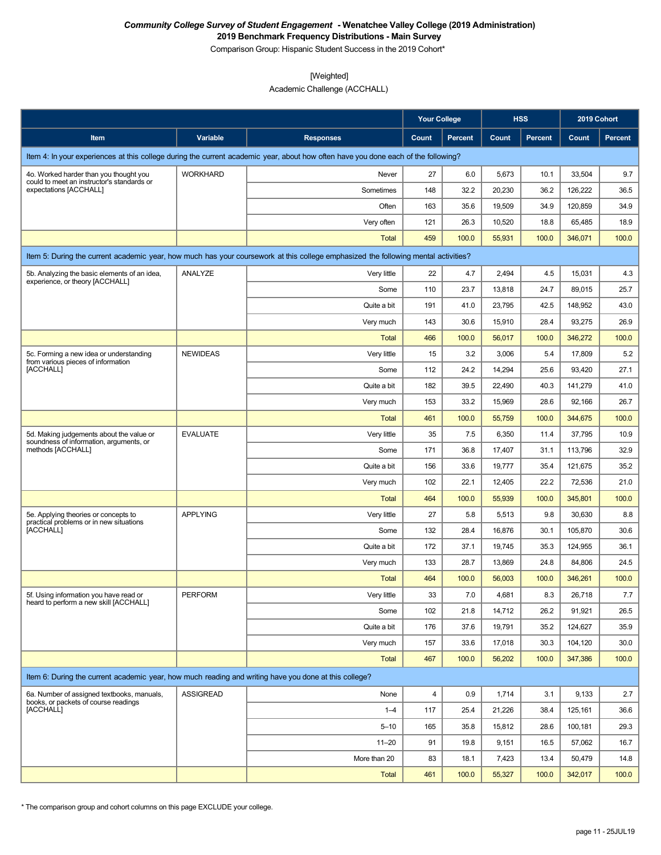Comparison Group: Hispanic Student Success in the 2019 Cohort\*

### [Weighted]

Academic Challenge (ACCHALL)

|                                                                                                          |                  |                                                                                                                                    | <b>Your College</b> |                |        | <b>HSS</b> | 2019 Cohort |                |
|----------------------------------------------------------------------------------------------------------|------------------|------------------------------------------------------------------------------------------------------------------------------------|---------------------|----------------|--------|------------|-------------|----------------|
| Item                                                                                                     | Variable         | <b>Responses</b>                                                                                                                   | Count               | <b>Percent</b> | Count  | Percent    | Count       | <b>Percent</b> |
|                                                                                                          |                  | Item 4: In your experiences at this college during the current academic year, about how often have you done each of the following? |                     |                |        |            |             |                |
| 4o. Worked harder than you thought you                                                                   | <b>WORKHARD</b>  | Never                                                                                                                              | 27                  | 6.0            | 5,673  | 10.1       | 33,504      | 9.7            |
| could to meet an instructor's standards or<br>expectations [ACCHALL]                                     |                  | Sometimes                                                                                                                          | 148                 | 32.2           | 20,230 | 36.2       | 126,222     | 36.5           |
|                                                                                                          |                  | Often                                                                                                                              | 163                 | 35.6           | 19,509 | 34.9       | 120,859     | 34.9           |
|                                                                                                          |                  | Very often                                                                                                                         | 121                 | 26.3           | 10,520 | 18.8       | 65,485      | 18.9           |
|                                                                                                          |                  | Total                                                                                                                              | 459                 | 100.0          | 55,931 | 100.0      | 346,071     | 100.0          |
|                                                                                                          |                  | Item 5: During the current academic year, how much has your coursework at this college emphasized the following mental activities? |                     |                |        |            |             |                |
| 5b. Analyzing the basic elements of an idea,                                                             | ANALYZE          | Very little                                                                                                                        | 22                  | 4.7            | 2,494  | 4.5        | 15,031      | 4.3            |
| experience, or theory [ACCHALL]                                                                          |                  | Some                                                                                                                               | 110                 | 23.7           | 13,818 | 24.7       | 89,015      | 25.7           |
|                                                                                                          |                  | Quite a bit                                                                                                                        | 191                 | 41.0           | 23,795 | 42.5       | 148,952     | 43.0           |
|                                                                                                          |                  | Very much                                                                                                                          | 143                 | 30.6           | 15,910 | 28.4       | 93,275      | 26.9           |
|                                                                                                          |                  | Total                                                                                                                              | 466                 | 100.0          | 56,017 | 100.0      | 346,272     | 100.0          |
| 5c. Forming a new idea or understanding<br>from various pieces of information                            | <b>NEWIDEAS</b>  | Very little                                                                                                                        | 15                  | 3.2            | 3,006  | 5.4        | 17,809      | 5.2            |
| [ACCHALL]                                                                                                |                  | Some                                                                                                                               | 112                 | 24.2           | 14,294 | 25.6       | 93,420      | 27.1           |
|                                                                                                          |                  | Quite a bit                                                                                                                        | 182                 | 39.5           | 22,490 | 40.3       | 141,279     | 41.0           |
|                                                                                                          |                  | Very much                                                                                                                          | 153                 | 33.2           | 15,969 | 28.6       | 92,166      | 26.7           |
|                                                                                                          |                  | Total                                                                                                                              | 461                 | 100.0          | 55,759 | 100.0      | 344,675     | 100.0          |
| 5d. Making judgements about the value or<br>soundness of information, arguments, or<br>methods [ACCHALL] | <b>EVALUATE</b>  | Very little                                                                                                                        | 35                  | 7.5            | 6,350  | 11.4       | 37,795      | 10.9           |
|                                                                                                          |                  | Some                                                                                                                               | 171                 | 36.8           | 17,407 | 31.1       | 113,796     | 32.9           |
|                                                                                                          |                  | Quite a bit                                                                                                                        | 156                 | 33.6           | 19,777 | 35.4       | 121,675     | 35.2           |
|                                                                                                          |                  | Very much                                                                                                                          | 102                 | 22.1           | 12,405 | 22.2       | 72,536      | 21.0           |
|                                                                                                          |                  | <b>Total</b>                                                                                                                       | 464                 | 100.0          | 55,939 | 100.0      | 345,801     | 100.0          |
| 5e. Applying theories or concepts to<br>practical problems or in new situations                          | <b>APPLYING</b>  | Very little                                                                                                                        | 27                  | 5.8            | 5,513  | 9.8        | 30,630      | 8.8            |
| [ACCHALL]                                                                                                |                  | Some                                                                                                                               | 132                 | 28.4           | 16,876 | 30.1       | 105,870     | 30.6           |
|                                                                                                          |                  | Quite a bit                                                                                                                        | 172                 | 37.1           | 19,745 | 35.3       | 124.955     | 36.1           |
|                                                                                                          |                  | Very much                                                                                                                          | 133                 | 28.7           | 13,869 | 24.8       | 84,806      | 24.5           |
|                                                                                                          |                  | <b>Total</b>                                                                                                                       | 464                 | 100.0          | 56,003 | 100.0      | 346,261     | 100.0          |
| 5f. Using information you have read or<br>heard to perform a new skill [ACCHALL]                         | PERFORM          | Very little                                                                                                                        | 33                  | $7.0\,$        | 4,681  | $8.3\,$    | 26,718      | 7.7            |
|                                                                                                          |                  | Some                                                                                                                               | 102                 | 21.8           | 14,712 | 26.2       | 91,921      | 26.5           |
|                                                                                                          |                  | Quite a bit                                                                                                                        | 176                 | 37.6           | 19,791 | 35.2       | 124,627     | 35.9           |
|                                                                                                          |                  | Very much                                                                                                                          | 157                 | 33.6           | 17,018 | 30.3       | 104,120     | 30.0           |
|                                                                                                          |                  | Total                                                                                                                              | 467                 | 100.0          | 56,202 | 100.0      | 347,386     | 100.0          |
| Item 6: During the current academic year, how much reading and writing have you done at this college?    |                  |                                                                                                                                    |                     |                |        |            |             |                |
| 6a. Number of assigned textbooks, manuals,                                                               | <b>ASSIGREAD</b> | None                                                                                                                               | 4                   | 0.9            | 1,714  | 3.1        | 9,133       | 2.7            |
| books, or packets of course readings<br>[ACCHALL]                                                        |                  | $1 - 4$                                                                                                                            | 117                 | 25.4           | 21,226 | 38.4       | 125,161     | 36.6           |
|                                                                                                          |                  | $5 - 10$                                                                                                                           | 165                 | 35.8           | 15,812 | 28.6       | 100,181     | 29.3           |
|                                                                                                          |                  | $11 - 20$                                                                                                                          | 91                  | 19.8           | 9,151  | 16.5       | 57,062      | 16.7           |
|                                                                                                          |                  | More than 20                                                                                                                       | 83                  | 18.1           | 7,423  | 13.4       | 50,479      | 14.8           |
|                                                                                                          |                  | Total                                                                                                                              | 461                 | 100.0          | 55,327 | 100.0      | 342,017     | 100.0          |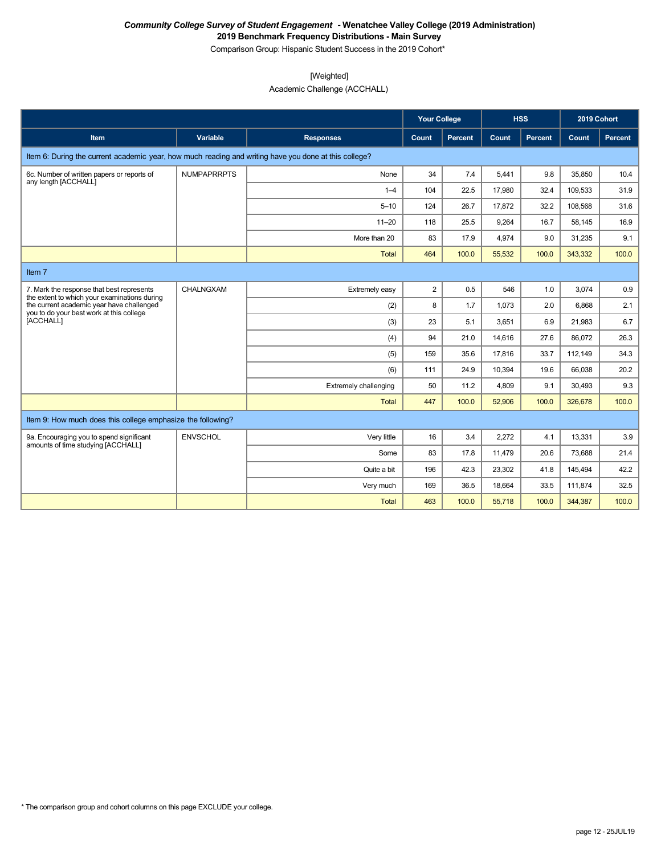Comparison Group: Hispanic Student Success in the 2019 Cohort\*

## [Weighted]

Academic Challenge (ACCHALL)

|                                                                                                       |                    |                       | <b>Your College</b> |         |        | <b>HSS</b>     | 2019 Cohort |         |
|-------------------------------------------------------------------------------------------------------|--------------------|-----------------------|---------------------|---------|--------|----------------|-------------|---------|
| <b>Item</b>                                                                                           | <b>Variable</b>    | <b>Responses</b>      | Count               | Percent | Count  | <b>Percent</b> | Count       | Percent |
| Item 6: During the current academic year, how much reading and writing have you done at this college? |                    |                       |                     |         |        |                |             |         |
| 6c. Number of written papers or reports of<br>any length [ACCHALL]                                    | <b>NUMPAPRRPTS</b> | None                  | 34                  | 7.4     | 5,441  | 9.8            | 35,850      | 10.4    |
|                                                                                                       |                    | $1 - 4$               | 104                 | 22.5    | 17,980 | 32.4           | 109,533     | 31.9    |
|                                                                                                       |                    | $5 - 10$              | 124                 | 26.7    | 17,872 | 32.2           | 108,568     | 31.6    |
|                                                                                                       |                    | $11 - 20$             | 118                 | 25.5    | 9,264  | 16.7           | 58,145      | 16.9    |
|                                                                                                       |                    | More than 20          | 83                  | 17.9    | 4,974  | 9.0            | 31,235      | 9.1     |
|                                                                                                       |                    | Total                 | 464                 | 100.0   | 55,532 | 100.0          | 343,332     | 100.0   |
| Item 7                                                                                                |                    |                       |                     |         |        |                |             |         |
| 7. Mark the response that best represents<br>the extent to which your examinations during             | CHALNGXAM          | Extremely easy        | $\overline{2}$      | 0.5     | 546    | 1.0            | 3.074       | 0.9     |
| the current academic year have challenged                                                             |                    | (2)                   | 8                   | 1.7     | 1,073  | 2.0            | 6,868       | 2.1     |
| you to do your best work at this college<br>[ACCHALL]                                                 |                    | (3)                   | 23                  | 5.1     | 3,651  | 6.9            | 21.983      | 6.7     |
|                                                                                                       |                    | (4)                   | 94                  | 21.0    | 14,616 | 27.6           | 86,072      | 26.3    |
|                                                                                                       |                    | (5)                   | 159                 | 35.6    | 17,816 | 33.7           | 112,149     | 34.3    |
|                                                                                                       |                    | (6)                   | 111                 | 24.9    | 10,394 | 19.6           | 66,038      | 20.2    |
|                                                                                                       |                    | Extremely challenging | 50                  | 11.2    | 4,809  | 9.1            | 30,493      | 9.3     |
|                                                                                                       |                    | Total                 | 447                 | 100.0   | 52.906 | 100.0          | 326,678     | 100.0   |
| Item 9: How much does this college emphasize the following?                                           |                    |                       |                     |         |        |                |             |         |
| 9a. Encouraging you to spend significant<br>amounts of time studying [ACCHALL]                        | <b>ENVSCHOL</b>    | Very little           | 16                  | 3.4     | 2,272  | 4.1            | 13,331      | 3.9     |
|                                                                                                       |                    | Some                  | 83                  | 17.8    | 11,479 | 20.6           | 73,688      | 21.4    |
|                                                                                                       |                    | Quite a bit           | 196                 | 42.3    | 23,302 | 41.8           | 145,494     | 42.2    |
|                                                                                                       |                    | Very much             | 169                 | 36.5    | 18,664 | 33.5           | 111.874     | 32.5    |
|                                                                                                       |                    | <b>Total</b>          | 463                 | 100.0   | 55,718 | 100.0          | 344,387     | 100.0   |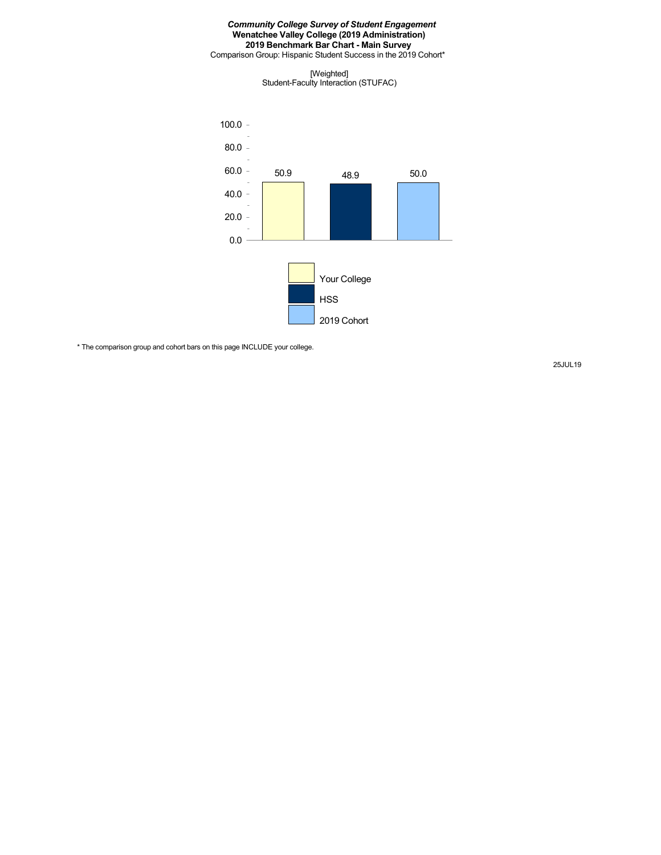Comparison Group: Hispanic Student Success in the 2019 Cohort\*

[Weighted] Student-Faculty Interaction (STUFAC)



\* The comparison group and cohort bars on this page INCLUDE your college.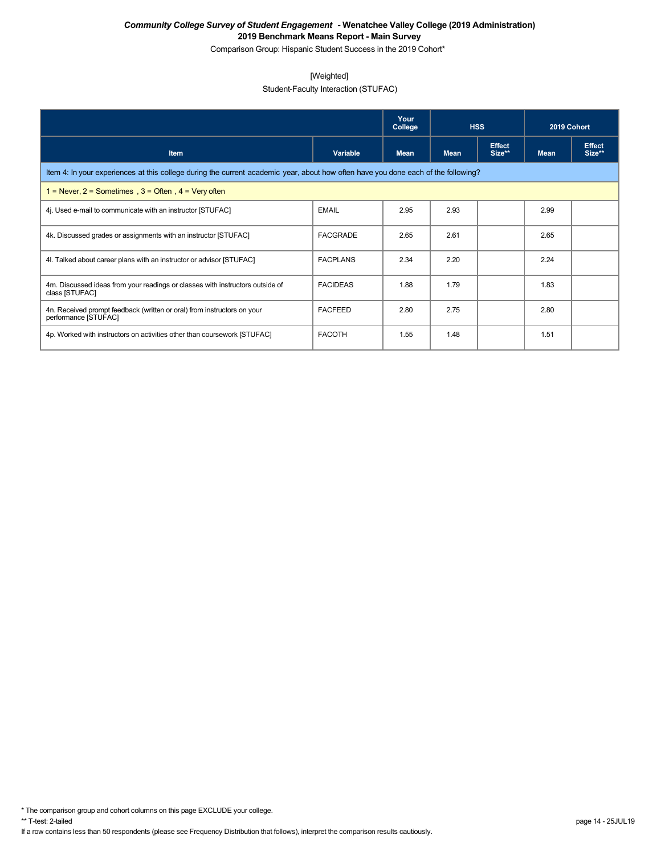Comparison Group: Hispanic Student Success in the 2019 Cohort\*

### [Weighted]

## Student-Faculty Interaction (STUFAC)

|                                                                                                                                    |                 | Your<br>College | <b>HSS</b>  |                         | 2019 Cohort |                         |  |  |  |
|------------------------------------------------------------------------------------------------------------------------------------|-----------------|-----------------|-------------|-------------------------|-------------|-------------------------|--|--|--|
| <b>Item</b>                                                                                                                        | Variable        | Mean            | <b>Mean</b> | <b>Effect</b><br>Size** | <b>Mean</b> | <b>Effect</b><br>Size** |  |  |  |
| Item 4: In your experiences at this college during the current academic year, about how often have you done each of the following? |                 |                 |             |                         |             |                         |  |  |  |
| 1 = Never, $2$ = Sometimes, $3$ = Often, $4$ = Very often                                                                          |                 |                 |             |                         |             |                         |  |  |  |
| 4. Used e-mail to communicate with an instructor [STUFAC]                                                                          | <b>EMAIL</b>    | 2.95            | 2.93        |                         | 2.99        |                         |  |  |  |
| 4k. Discussed grades or assignments with an instructor [STUFAC]                                                                    | <b>FACGRADE</b> | 2.65            | 2.61        |                         | 2.65        |                         |  |  |  |
| 4. Talked about career plans with an instructor or advisor [STUFAC]                                                                | <b>FACPLANS</b> | 2.34            | 2.20        |                         | 2.24        |                         |  |  |  |
| 4m. Discussed ideas from your readings or classes with instructors outside of<br>class [STUFAC]                                    | <b>FACIDEAS</b> | 1.88            | 1.79        |                         | 1.83        |                         |  |  |  |
| 4n. Received prompt feedback (written or oral) from instructors on your<br>performance [STUFAC]                                    | <b>FACFEED</b>  | 2.80            | 2.75        |                         | 2.80        |                         |  |  |  |
| 4p. Worked with instructors on activities other than coursework [STUFAC]                                                           | <b>FACOTH</b>   | 1.55            | 1.48        |                         | 1.51        |                         |  |  |  |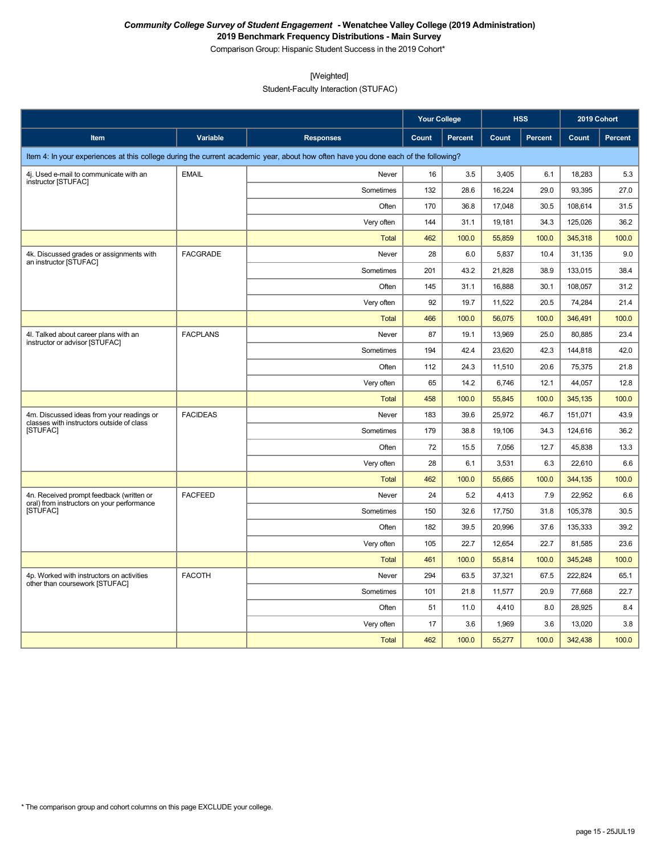Comparison Group: Hispanic Student Success in the 2019 Cohort\*

[Weighted]

Student-Faculty Interaction (STUFAC)

|                                                                                        |                 |                                                                                                                                    | <b>Your College</b> |         |        | <b>HSS</b> | 2019 Cohort |                |
|----------------------------------------------------------------------------------------|-----------------|------------------------------------------------------------------------------------------------------------------------------------|---------------------|---------|--------|------------|-------------|----------------|
| Item                                                                                   | Variable        | <b>Responses</b>                                                                                                                   | Count               | Percent | Count  | Percent    | Count       | <b>Percent</b> |
|                                                                                        |                 | Item 4: In your experiences at this college during the current academic year, about how often have you done each of the following? |                     |         |        |            |             |                |
| 4j. Used e-mail to communicate with an                                                 | <b>EMAIL</b>    | Never                                                                                                                              | 16                  | 3.5     | 3,405  | 6.1        | 18,283      | 5.3            |
| instructor [STUFAC]                                                                    |                 | Sometimes                                                                                                                          | 132                 | 28.6    | 16,224 | 29.0       | 93,395      | 27.0           |
|                                                                                        |                 | Often                                                                                                                              | 170                 | 36.8    | 17,048 | 30.5       | 108,614     | 31.5           |
|                                                                                        |                 | Very often                                                                                                                         | 144                 | 31.1    | 19,181 | 34.3       | 125,026     | 36.2           |
|                                                                                        |                 | <b>Total</b>                                                                                                                       | 462                 | 100.0   | 55,859 | 100.0      | 345,318     | 100.0          |
| 4k. Discussed grades or assignments with<br>an instructor [STUFAC]                     | <b>FACGRADE</b> | Never                                                                                                                              | 28                  | 6.0     | 5,837  | 10.4       | 31,135      | 9.0            |
|                                                                                        |                 | Sometimes                                                                                                                          | 201                 | 43.2    | 21,828 | 38.9       | 133,015     | 38.4           |
|                                                                                        |                 | Often                                                                                                                              | 145                 | 31.1    | 16,888 | 30.1       | 108,057     | 31.2           |
|                                                                                        |                 | Very often                                                                                                                         | 92                  | 19.7    | 11,522 | 20.5       | 74,284      | 21.4           |
|                                                                                        |                 | <b>Total</b>                                                                                                                       | 466                 | 100.0   | 56,075 | 100.0      | 346,491     | 100.0          |
| 4I. Talked about career plans with an<br>instructor or advisor [STUFAC]                | <b>FACPLANS</b> | Never                                                                                                                              | 87                  | 19.1    | 13,969 | 25.0       | 80,885      | 23.4           |
|                                                                                        |                 | Sometimes                                                                                                                          | 194                 | 42.4    | 23,620 | 42.3       | 144,818     | 42.0           |
|                                                                                        |                 | Often                                                                                                                              | 112                 | 24.3    | 11,510 | 20.6       | 75,375      | 21.8           |
|                                                                                        |                 | Very often                                                                                                                         | 65                  | 14.2    | 6,746  | 12.1       | 44,057      | 12.8           |
|                                                                                        |                 | Total                                                                                                                              | 458                 | 100.0   | 55,845 | 100.0      | 345,135     | 100.0          |
| 4m. Discussed ideas from your readings or<br>classes with instructors outside of class | <b>FACIDEAS</b> | Never                                                                                                                              | 183                 | 39.6    | 25,972 | 46.7       | 151,071     | 43.9           |
| [STUFAC]                                                                               |                 | Sometimes                                                                                                                          | 179                 | 38.8    | 19,106 | 34.3       | 124,616     | 36.2           |
|                                                                                        |                 | Often                                                                                                                              | 72                  | 15.5    | 7,056  | 12.7       | 45,838      | 13.3           |
|                                                                                        |                 | Very often                                                                                                                         | 28                  | 6.1     | 3,531  | 6.3        | 22,610      | 6.6            |
|                                                                                        |                 | <b>Total</b>                                                                                                                       | 462                 | 100.0   | 55,665 | 100.0      | 344,135     | 100.0          |
| 4n. Received prompt feedback (written or<br>oral) from instructors on your performance | <b>FACFEED</b>  | Never                                                                                                                              | 24                  | 5.2     | 4,413  | 7.9        | 22,952      | 6.6            |
| [STUFAC]                                                                               |                 | Sometimes                                                                                                                          | 150                 | 32.6    | 17,750 | 31.8       | 105,378     | 30.5           |
|                                                                                        |                 | Often                                                                                                                              | 182                 | 39.5    | 20,996 | 37.6       | 135,333     | 39.2           |
|                                                                                        |                 | Very often                                                                                                                         | 105                 | 22.7    | 12,654 | 22.7       | 81,585      | 23.6           |
|                                                                                        |                 | <b>Total</b>                                                                                                                       | 461                 | 100.0   | 55,814 | 100.0      | 345,248     | 100.0          |
| 4p. Worked with instructors on activities<br>other than coursework [STUFAC]            | <b>FACOTH</b>   | Never                                                                                                                              | 294                 | 63.5    | 37,321 | 67.5       | 222,824     | 65.1           |
|                                                                                        |                 | Sometimes                                                                                                                          | 101                 | 21.8    | 11,577 | 20.9       | 77,668      | 22.7           |
|                                                                                        |                 | Often                                                                                                                              | 51                  | 11.0    | 4,410  | 8.0        | 28,925      | 8.4            |
|                                                                                        |                 | Very often                                                                                                                         | 17                  | 3.6     | 1,969  | 3.6        | 13,020      | 3.8            |
|                                                                                        |                 | <b>Total</b>                                                                                                                       | 462                 | 100.0   | 55,277 | 100.0      | 342,438     | 100.0          |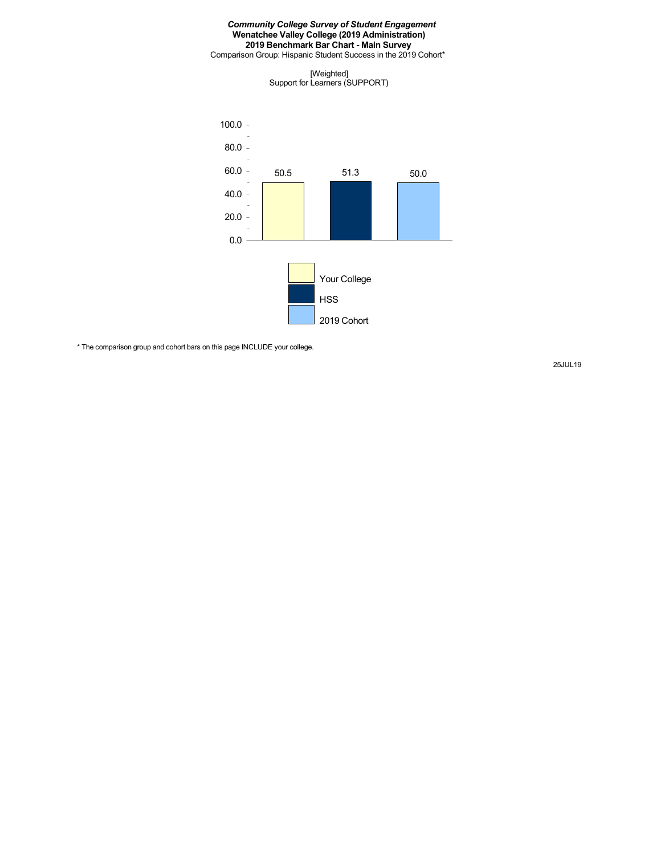Comparison Group: Hispanic Student Success in the 2019 Cohort\*

[Weighted] Support for Learners (SUPPORT)



\* The comparison group and cohort bars on this page INCLUDE your college.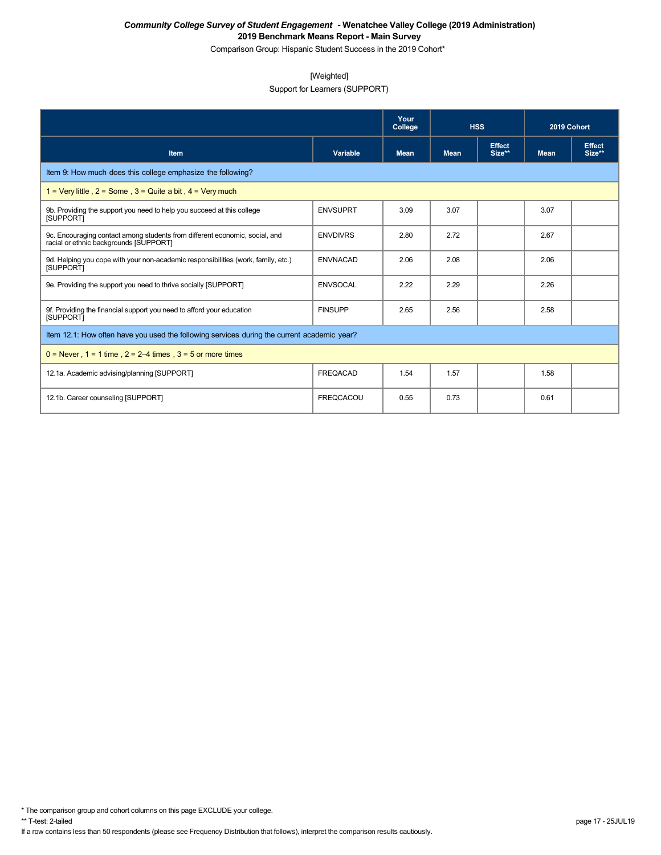Comparison Group: Hispanic Student Success in the 2019 Cohort\*

## [Weighted]

Support for Learners (SUPPORT)

|                                                                                                                       |                  | Your<br>College | <b>HSS</b>  |                         | 2019 Cohort |                         |
|-----------------------------------------------------------------------------------------------------------------------|------------------|-----------------|-------------|-------------------------|-------------|-------------------------|
| Item                                                                                                                  | Variable         | <b>Mean</b>     | <b>Mean</b> | <b>Effect</b><br>Size** | <b>Mean</b> | <b>Effect</b><br>Size** |
| Item 9: How much does this college emphasize the following?                                                           |                  |                 |             |                         |             |                         |
| 1 = Very little, $2 =$ Some, $3 =$ Quite a bit, $4 =$ Very much                                                       |                  |                 |             |                         |             |                         |
| 9b. Providing the support you need to help you succeed at this college<br><b>ISUPPORTI</b>                            | <b>ENVSUPRT</b>  | 3.09            | 3.07        |                         | 3.07        |                         |
| 9c. Encouraging contact among students from different economic, social, and<br>racial or ethnic backgrounds [SUPPORT] | <b>ENVDIVRS</b>  | 2.80            | 2.72        |                         | 2.67        |                         |
| 9d. Helping you cope with your non-academic responsibilities (work, family, etc.)<br><b>ISUPPORTI</b>                 | <b>ENVNACAD</b>  | 2.06            | 2.08        |                         | 2.06        |                         |
| 9e. Providing the support you need to thrive socially [SUPPORT]                                                       | <b>ENVSOCAL</b>  | 2.22            | 2.29        |                         | 2.26        |                         |
| 9f. Providing the financial support you need to afford your education<br><b>ISUPPORTI</b>                             | <b>FINSUPP</b>   | 2.65            | 2.56        |                         | 2.58        |                         |
| Item 12.1: How often have you used the following services during the current academic year?                           |                  |                 |             |                         |             |                         |
| $0 =$ Never, 1 = 1 time, 2 = 2–4 times, 3 = 5 or more times                                                           |                  |                 |             |                         |             |                         |
| 12.1a. Academic advising/planning [SUPPORT]                                                                           | <b>FREQACAD</b>  | 1.54            | 1.57        |                         | 1.58        |                         |
| 12.1b. Career counseling [SUPPORT]                                                                                    | <b>FREQCACOU</b> | 0.55            | 0.73        |                         | 0.61        |                         |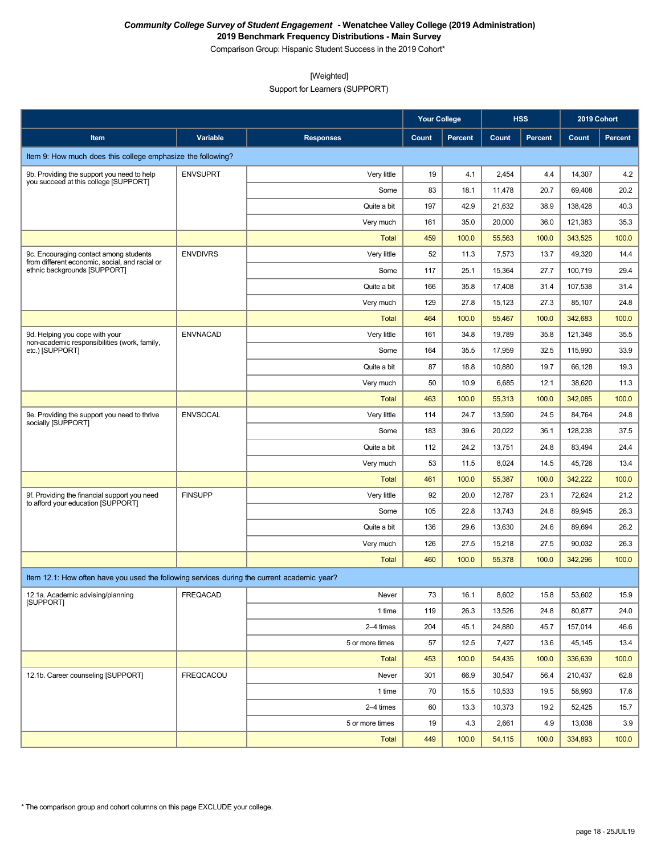Comparison Group: Hispanic Student Success in the 2019 Cohort\*

[Weighted]

Support for Learners (SUPPORT)

|                                                                                             |                 |                  |        | <b>Your College</b> |        | <b>HSS</b> |         | 2019 Cohort |  |
|---------------------------------------------------------------------------------------------|-----------------|------------------|--------|---------------------|--------|------------|---------|-------------|--|
| Item                                                                                        | <b>Variable</b> | <b>Responses</b> | Count  | <b>Percent</b>      | Count  | Percent    | Count   | Percent     |  |
| Item 9: How much does this college emphasize the following?                                 |                 |                  |        |                     |        |            |         |             |  |
| 9b. Providing the support you need to help                                                  | <b>ENVSUPRT</b> | Very little      | 19     | 4.1                 | 2,454  | 4.4        | 14,307  | 4.2         |  |
| you succeed at this college [SUPPORT]                                                       |                 | Some             | 83     | 18.1                | 11,478 | 20.7       | 69,408  | 20.2        |  |
|                                                                                             |                 | Quite a bit      | 197    | 42.9                | 21,632 | 38.9       | 138,428 | 40.3        |  |
|                                                                                             |                 | Very much        | 161    | 35.0                | 20,000 | 36.0       | 121,383 | 35.3        |  |
|                                                                                             |                 | <b>Total</b>     | 459    | 100.0               | 55,563 | 100.0      | 343,525 | 100.0       |  |
| 9c. Encouraging contact among students<br>from different economic, social, and racial or    | <b>ENVDIVRS</b> | Very little      | 52     | 11.3                | 7,573  | 13.7       | 49,320  | 14.4        |  |
| ethnic backgrounds [SUPPORT]                                                                |                 | Some             | 117    | 25.1                | 15,364 | 27.7       | 100,719 | 29.4        |  |
|                                                                                             |                 | Quite a bit      | 166    | 35.8                | 17,408 | 31.4       | 107,538 | 31.4        |  |
|                                                                                             |                 | Very much        | 129    | 27.8                | 15,123 | 27.3       | 85,107  | 24.8        |  |
|                                                                                             |                 | <b>Total</b>     | 464    | 100.0               | 55,467 | 100.0      | 342,683 | 100.0       |  |
| 9d. Helping you cope with your<br>non-academic responsibilities (work, family,              | <b>ENVNACAD</b> | Very little      | 161    | 34.8                | 19,789 | 35.8       | 121,348 | 35.5        |  |
| etc.) [SUPPORT]                                                                             |                 | Some             | 164    | 35.5                | 17,959 | 32.5       | 115,990 | 33.9        |  |
|                                                                                             |                 | Quite a bit      | 87     | 18.8                | 10,880 | 19.7       | 66,128  | 19.3        |  |
|                                                                                             |                 | Very much        | 50     | 10.9                | 6,685  | 12.1       | 38,620  | 11.3        |  |
|                                                                                             |                 | <b>Total</b>     | 463    | 100.0               | 55,313 | 100.0      | 342,085 | 100.0       |  |
| 9e. Providing the support you need to thrive<br>socially [SUPPORT]                          | <b>ENVSOCAL</b> | Very little      | 114    | 24.7                | 13,590 | 24.5       | 84,764  | 24.8        |  |
|                                                                                             |                 | Some             | 183    | 39.6                | 20,022 | 36.1       | 128,238 | 37.5        |  |
|                                                                                             |                 | Quite a bit      | 112    | 24.2                | 13,751 | 24.8       | 83,494  | 24.4        |  |
|                                                                                             |                 | Very much        | 53     | 11.5                | 8,024  | 14.5       | 45,726  | 13.4        |  |
|                                                                                             |                 | <b>Total</b>     | 461    | 100.0               | 55,387 | 100.0      | 342,222 | 100.0       |  |
| 9f. Providing the financial support you need<br>to afford your education [SUPPORT]          | <b>FINSUPP</b>  | Very little      | 92     | 20.0                | 12,787 | 23.1       | 72,624  | 21.2        |  |
|                                                                                             |                 | Some             | 105    | 22.8                | 13,743 | 24.8       | 89,945  | 26.3        |  |
|                                                                                             |                 | Quite a bit      | 136    | 29.6                | 13,630 | 24.6       | 89,694  | 26.2        |  |
|                                                                                             |                 | Very much        | 126    | 27.5                | 15,218 | 27.5       | 90,032  | 26.3        |  |
|                                                                                             |                 | <b>Total</b>     | 460    | 100.0               | 55,378 | 100.0      | 342,296 | 100.0       |  |
| Item 12.1: How often have you used the following services during the current academic year? |                 |                  |        |                     |        |            |         |             |  |
| 12.1a. Academic advising/planning<br>[SUPPORT]                                              | FREQACAD        | Never            | $73\,$ | 16.1                | 8,602  | 15.8       | 53,602  | 15.9        |  |
|                                                                                             |                 | 1 time           | 119    | 26.3                | 13,526 | 24.8       | 80,877  | 24.0        |  |
|                                                                                             |                 | 2-4 times        | 204    | 45.1                | 24,880 | 45.7       | 157,014 | 46.6        |  |
|                                                                                             |                 | 5 or more times  | 57     | 12.5                | 7,427  | 13.6       | 45,145  | 13.4        |  |
|                                                                                             |                 | Total            | 453    | 100.0               | 54,435 | 100.0      | 336,639 | 100.0       |  |
| 12.1b. Career counseling [SUPPORT]                                                          | FREQCACOU       | Never            | 301    | 66.9                | 30,547 | 56.4       | 210,437 | 62.8        |  |
|                                                                                             |                 | 1 time           | 70     | 15.5                | 10,533 | 19.5       | 58,993  | 17.6        |  |
|                                                                                             |                 | 2-4 times        | 60     | 13.3                | 10,373 | 19.2       | 52,425  | 15.7        |  |
|                                                                                             |                 | 5 or more times  | 19     | 4.3                 | 2,661  | 4.9        | 13,038  | 3.9         |  |
|                                                                                             |                 | <b>Total</b>     | 449    | 100.0               | 54,115 | 100.0      | 334,893 | 100.0       |  |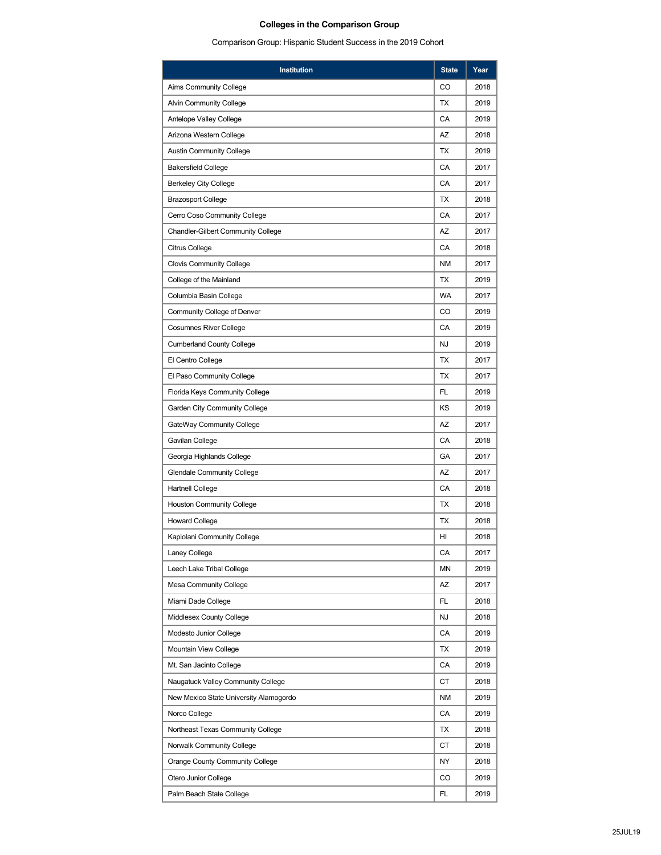# **Colleges in the Comparison Group**

Comparison Group: Hispanic Student Success in the 2019 Cohort

| CO<br>2018<br>Aims Community College<br><b>Alvin Community College</b><br>ТX<br>2019<br>CA<br>2019<br>Antelope Valley College<br>AZ<br>2018<br>Arizona Western College<br>TX<br>2019<br><b>Austin Community College</b><br>CA<br>2017<br><b>Bakersfield College</b><br>CA<br>2017<br><b>Berkeley City College</b><br>TX<br><b>Brazosport College</b><br>2018<br>CA<br>2017<br>Cerro Coso Community College<br>AZ<br>2017<br><b>Chandler-Gilbert Community College</b><br>CA<br>2018<br>Citrus College<br><b>NM</b><br><b>Clovis Community College</b><br>2017<br>TX<br>2019<br>College of the Mainland<br><b>WA</b><br>Columbia Basin College<br>2017<br>CO<br>2019<br>Community College of Denver<br>CA<br><b>Cosumnes River College</b><br>2019<br>NJ<br>2019<br><b>Cumberland County College</b><br>TX<br>2017<br>El Centro College<br>TX<br>2017<br>El Paso Community College<br>FL<br>2019<br>Florida Keys Community College<br>ΚS<br>2019<br>Garden City Community College<br>GateWay Community College<br>AZ<br>2017<br>CA<br>2018<br>Gavilan College<br>GA<br>Georgia Highlands College<br>2017<br>AZ<br>2017<br><b>Glendale Community College</b><br>CA<br><b>Hartnell College</b><br>2018<br><b>Houston Community College</b><br>ТX<br>2018<br>TX<br>2018<br><b>Howard College</b><br>HI<br>2018<br>Kapiolani Community College<br>CA<br>Laney College<br>2017<br>ΜN<br>2019<br>Leech Lake Tribal College<br>AZ<br>2017<br><b>Mesa Community College</b> |
|--------------------------------------------------------------------------------------------------------------------------------------------------------------------------------------------------------------------------------------------------------------------------------------------------------------------------------------------------------------------------------------------------------------------------------------------------------------------------------------------------------------------------------------------------------------------------------------------------------------------------------------------------------------------------------------------------------------------------------------------------------------------------------------------------------------------------------------------------------------------------------------------------------------------------------------------------------------------------------------------------------------------------------------------------------------------------------------------------------------------------------------------------------------------------------------------------------------------------------------------------------------------------------------------------------------------------------------------------------------------------------------------------------------------------------------------------------------------|
|                                                                                                                                                                                                                                                                                                                                                                                                                                                                                                                                                                                                                                                                                                                                                                                                                                                                                                                                                                                                                                                                                                                                                                                                                                                                                                                                                                                                                                                                    |
|                                                                                                                                                                                                                                                                                                                                                                                                                                                                                                                                                                                                                                                                                                                                                                                                                                                                                                                                                                                                                                                                                                                                                                                                                                                                                                                                                                                                                                                                    |
|                                                                                                                                                                                                                                                                                                                                                                                                                                                                                                                                                                                                                                                                                                                                                                                                                                                                                                                                                                                                                                                                                                                                                                                                                                                                                                                                                                                                                                                                    |
|                                                                                                                                                                                                                                                                                                                                                                                                                                                                                                                                                                                                                                                                                                                                                                                                                                                                                                                                                                                                                                                                                                                                                                                                                                                                                                                                                                                                                                                                    |
|                                                                                                                                                                                                                                                                                                                                                                                                                                                                                                                                                                                                                                                                                                                                                                                                                                                                                                                                                                                                                                                                                                                                                                                                                                                                                                                                                                                                                                                                    |
|                                                                                                                                                                                                                                                                                                                                                                                                                                                                                                                                                                                                                                                                                                                                                                                                                                                                                                                                                                                                                                                                                                                                                                                                                                                                                                                                                                                                                                                                    |
|                                                                                                                                                                                                                                                                                                                                                                                                                                                                                                                                                                                                                                                                                                                                                                                                                                                                                                                                                                                                                                                                                                                                                                                                                                                                                                                                                                                                                                                                    |
|                                                                                                                                                                                                                                                                                                                                                                                                                                                                                                                                                                                                                                                                                                                                                                                                                                                                                                                                                                                                                                                                                                                                                                                                                                                                                                                                                                                                                                                                    |
|                                                                                                                                                                                                                                                                                                                                                                                                                                                                                                                                                                                                                                                                                                                                                                                                                                                                                                                                                                                                                                                                                                                                                                                                                                                                                                                                                                                                                                                                    |
|                                                                                                                                                                                                                                                                                                                                                                                                                                                                                                                                                                                                                                                                                                                                                                                                                                                                                                                                                                                                                                                                                                                                                                                                                                                                                                                                                                                                                                                                    |
|                                                                                                                                                                                                                                                                                                                                                                                                                                                                                                                                                                                                                                                                                                                                                                                                                                                                                                                                                                                                                                                                                                                                                                                                                                                                                                                                                                                                                                                                    |
|                                                                                                                                                                                                                                                                                                                                                                                                                                                                                                                                                                                                                                                                                                                                                                                                                                                                                                                                                                                                                                                                                                                                                                                                                                                                                                                                                                                                                                                                    |
|                                                                                                                                                                                                                                                                                                                                                                                                                                                                                                                                                                                                                                                                                                                                                                                                                                                                                                                                                                                                                                                                                                                                                                                                                                                                                                                                                                                                                                                                    |
|                                                                                                                                                                                                                                                                                                                                                                                                                                                                                                                                                                                                                                                                                                                                                                                                                                                                                                                                                                                                                                                                                                                                                                                                                                                                                                                                                                                                                                                                    |
|                                                                                                                                                                                                                                                                                                                                                                                                                                                                                                                                                                                                                                                                                                                                                                                                                                                                                                                                                                                                                                                                                                                                                                                                                                                                                                                                                                                                                                                                    |
|                                                                                                                                                                                                                                                                                                                                                                                                                                                                                                                                                                                                                                                                                                                                                                                                                                                                                                                                                                                                                                                                                                                                                                                                                                                                                                                                                                                                                                                                    |
|                                                                                                                                                                                                                                                                                                                                                                                                                                                                                                                                                                                                                                                                                                                                                                                                                                                                                                                                                                                                                                                                                                                                                                                                                                                                                                                                                                                                                                                                    |
|                                                                                                                                                                                                                                                                                                                                                                                                                                                                                                                                                                                                                                                                                                                                                                                                                                                                                                                                                                                                                                                                                                                                                                                                                                                                                                                                                                                                                                                                    |
|                                                                                                                                                                                                                                                                                                                                                                                                                                                                                                                                                                                                                                                                                                                                                                                                                                                                                                                                                                                                                                                                                                                                                                                                                                                                                                                                                                                                                                                                    |
|                                                                                                                                                                                                                                                                                                                                                                                                                                                                                                                                                                                                                                                                                                                                                                                                                                                                                                                                                                                                                                                                                                                                                                                                                                                                                                                                                                                                                                                                    |
|                                                                                                                                                                                                                                                                                                                                                                                                                                                                                                                                                                                                                                                                                                                                                                                                                                                                                                                                                                                                                                                                                                                                                                                                                                                                                                                                                                                                                                                                    |
|                                                                                                                                                                                                                                                                                                                                                                                                                                                                                                                                                                                                                                                                                                                                                                                                                                                                                                                                                                                                                                                                                                                                                                                                                                                                                                                                                                                                                                                                    |
|                                                                                                                                                                                                                                                                                                                                                                                                                                                                                                                                                                                                                                                                                                                                                                                                                                                                                                                                                                                                                                                                                                                                                                                                                                                                                                                                                                                                                                                                    |
|                                                                                                                                                                                                                                                                                                                                                                                                                                                                                                                                                                                                                                                                                                                                                                                                                                                                                                                                                                                                                                                                                                                                                                                                                                                                                                                                                                                                                                                                    |
|                                                                                                                                                                                                                                                                                                                                                                                                                                                                                                                                                                                                                                                                                                                                                                                                                                                                                                                                                                                                                                                                                                                                                                                                                                                                                                                                                                                                                                                                    |
|                                                                                                                                                                                                                                                                                                                                                                                                                                                                                                                                                                                                                                                                                                                                                                                                                                                                                                                                                                                                                                                                                                                                                                                                                                                                                                                                                                                                                                                                    |
|                                                                                                                                                                                                                                                                                                                                                                                                                                                                                                                                                                                                                                                                                                                                                                                                                                                                                                                                                                                                                                                                                                                                                                                                                                                                                                                                                                                                                                                                    |
|                                                                                                                                                                                                                                                                                                                                                                                                                                                                                                                                                                                                                                                                                                                                                                                                                                                                                                                                                                                                                                                                                                                                                                                                                                                                                                                                                                                                                                                                    |
|                                                                                                                                                                                                                                                                                                                                                                                                                                                                                                                                                                                                                                                                                                                                                                                                                                                                                                                                                                                                                                                                                                                                                                                                                                                                                                                                                                                                                                                                    |
|                                                                                                                                                                                                                                                                                                                                                                                                                                                                                                                                                                                                                                                                                                                                                                                                                                                                                                                                                                                                                                                                                                                                                                                                                                                                                                                                                                                                                                                                    |
|                                                                                                                                                                                                                                                                                                                                                                                                                                                                                                                                                                                                                                                                                                                                                                                                                                                                                                                                                                                                                                                                                                                                                                                                                                                                                                                                                                                                                                                                    |
|                                                                                                                                                                                                                                                                                                                                                                                                                                                                                                                                                                                                                                                                                                                                                                                                                                                                                                                                                                                                                                                                                                                                                                                                                                                                                                                                                                                                                                                                    |
| FL<br>Miami Dade College<br>2018                                                                                                                                                                                                                                                                                                                                                                                                                                                                                                                                                                                                                                                                                                                                                                                                                                                                                                                                                                                                                                                                                                                                                                                                                                                                                                                                                                                                                                   |
| NJ<br>2018<br>Middlesex County College                                                                                                                                                                                                                                                                                                                                                                                                                                                                                                                                                                                                                                                                                                                                                                                                                                                                                                                                                                                                                                                                                                                                                                                                                                                                                                                                                                                                                             |
| CA<br>2019<br>Modesto Junior College                                                                                                                                                                                                                                                                                                                                                                                                                                                                                                                                                                                                                                                                                                                                                                                                                                                                                                                                                                                                                                                                                                                                                                                                                                                                                                                                                                                                                               |
| TX<br>2019<br>Mountain View College                                                                                                                                                                                                                                                                                                                                                                                                                                                                                                                                                                                                                                                                                                                                                                                                                                                                                                                                                                                                                                                                                                                                                                                                                                                                                                                                                                                                                                |
| Mt. San Jacinto College<br>СA<br>2019                                                                                                                                                                                                                                                                                                                                                                                                                                                                                                                                                                                                                                                                                                                                                                                                                                                                                                                                                                                                                                                                                                                                                                                                                                                                                                                                                                                                                              |
| СT<br>2018<br>Naugatuck Valley Community College                                                                                                                                                                                                                                                                                                                                                                                                                                                                                                                                                                                                                                                                                                                                                                                                                                                                                                                                                                                                                                                                                                                                                                                                                                                                                                                                                                                                                   |
| ΝM<br>New Mexico State University Alamogordo<br>2019                                                                                                                                                                                                                                                                                                                                                                                                                                                                                                                                                                                                                                                                                                                                                                                                                                                                                                                                                                                                                                                                                                                                                                                                                                                                                                                                                                                                               |
| CA<br>Norco College<br>2019                                                                                                                                                                                                                                                                                                                                                                                                                                                                                                                                                                                                                                                                                                                                                                                                                                                                                                                                                                                                                                                                                                                                                                                                                                                                                                                                                                                                                                        |
| Northeast Texas Community College<br>ТX<br>2018                                                                                                                                                                                                                                                                                                                                                                                                                                                                                                                                                                                                                                                                                                                                                                                                                                                                                                                                                                                                                                                                                                                                                                                                                                                                                                                                                                                                                    |
| СT<br>2018<br>Norwalk Community College                                                                                                                                                                                                                                                                                                                                                                                                                                                                                                                                                                                                                                                                                                                                                                                                                                                                                                                                                                                                                                                                                                                                                                                                                                                                                                                                                                                                                            |
| ΝY<br>2018<br>Orange County Community College                                                                                                                                                                                                                                                                                                                                                                                                                                                                                                                                                                                                                                                                                                                                                                                                                                                                                                                                                                                                                                                                                                                                                                                                                                                                                                                                                                                                                      |
| CO<br>2019<br>Otero Junior College                                                                                                                                                                                                                                                                                                                                                                                                                                                                                                                                                                                                                                                                                                                                                                                                                                                                                                                                                                                                                                                                                                                                                                                                                                                                                                                                                                                                                                 |
| FL<br>2019<br>Palm Beach State College                                                                                                                                                                                                                                                                                                                                                                                                                                                                                                                                                                                                                                                                                                                                                                                                                                                                                                                                                                                                                                                                                                                                                                                                                                                                                                                                                                                                                             |